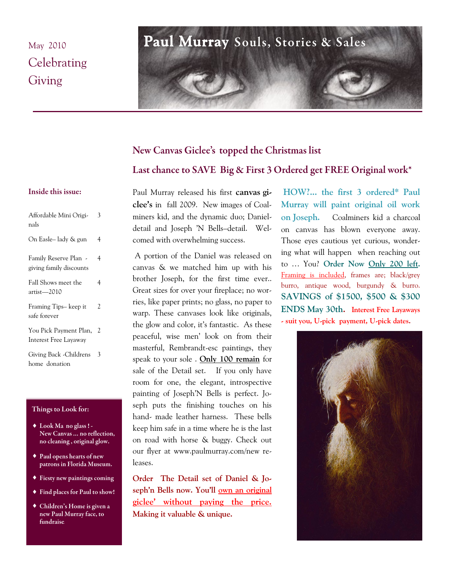## May 2010 Celebrating Giving

# Paul Murray Souls, Stories & Sales

# New Canvas Giclee's topped the Christmas list Last chance to SAVE Big & First 3 Ordered get FREE Original work\*

## Inside this issue:

| Affordable Mini Origi-<br>nals                   | 3 |
|--------------------------------------------------|---|
| On Easle-lady & gun                              | 4 |
| Family Reserve Plan -<br>giving family discounts | 4 |
| Fall Shows meet the<br>artist—2010               | 4 |
| Framing Tips- keep it<br>safe forever            | 2 |
| You Pick Payment Plan,<br>Interest Free Layaway  | 2 |
| Giving Back - Childrens<br>home donation         | 3 |

## Things to Look for:

- ◆ Look Ma no glass ! -New Canvas ... no reflection, no cleaning, original glow.
- ◆ Paul opens hearts of new patrons in Florida Museum.
- ◆ Fiesty new paintings coming
- Find places for Paul to show!
- ◆ Children's Home is given a new Paul Murray face, to fundraise.

Paul Murray released his first **canvas giclee's** in fall 2009. New images of Coalminers kid, and the dynamic duo; Danieldetail and Joseph 'N Bells–detail. Welcomed with overwhelming success.

A portion of the Daniel was released on canvas & we matched him up with his brother Joseph, for the first time ever.. Great sizes for over your fireplace; no worries, like paper prints; no glass, no paper to warp. These canvases look like originals, the glow and color, it's fantastic. As these peaceful, wise men' look on from their masterful, Rembrandt-esc paintings, they speak to your sole . **Only 100 remain** for sale of the Detail set. If you only have room for one, the elegant, introspective painting of Joseph'N Bells is perfect. Joseph puts the finishing touches on his hand- made leather harness. These bells keep him safe in a time where he is the last on road with horse & buggy. Check out our flyer at www.paulmurray.com/new releases.

**Order The Detail set of Daniel & Joseph'n Bells now. You'll own an original giclee' without paying the price. Making it valuable & unique.** 

**HOW?... the first 3 ordered\* Paul Murray will paint original oil work on Joseph.** Coalminers kid a charcoal on canvas has blown everyone away. Those eyes cautious yet curious, wondering what will happen when reaching out to … You? **Order Now Only 200 left.**  Framing is included, frames are; black/grey burro, antique wood, burgundy & burro. **SAVINGS of \$1500, \$500 & \$300 ENDS May 30th. Interest Free Layaways - suit you, U-pick payment, U-pick dates.** 

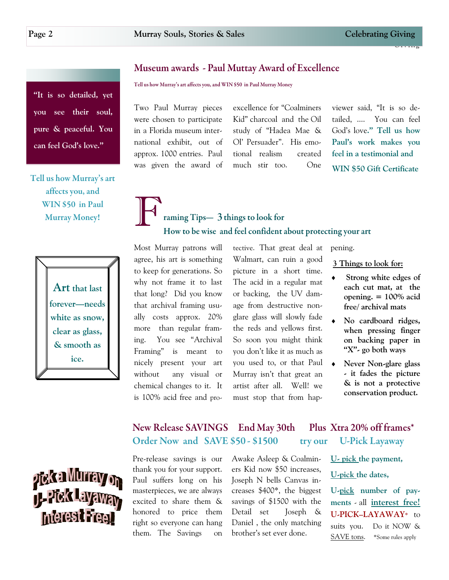Giving

## Museum awards - Paul Muttay Award of Excellence

Tell us how Murray's art affects you, and WIN \$50 in Paul Murray Money

Two Paul Murray pieces were chosen to participate in a Florida museum international exhibit, out of approx. 1000 entries. Paul was given the award of

F

excellence for "Coalminers Kid" charcoal and the Oil study of "Hadea Mae & Ol' Persuader". His emotional realism created much stir too. One

viewer said, "It is so detailed, .... You can feel God's love**.‖ Tell us how Paul's work makes you feel in a testimonial and WIN \$50 Gift Certificate** 

Tell us how Murray's art affects you, and WIN \$50 in Paul **Murray Money!** 

"It is so detailed, yet

**you see their soul,** 

**pure & peaceful. You** 

**can feel God's love.‖**



Most Murray patrons will agree, his art is something to keep for generations. So why not frame it to last that long? Did you know that archival framing usually costs approx. 20% more than regular framing. You see "Archival Framing" is meant to nicely present your art without any visual or chemical changes to it. It is 100% acid free and pro-

tective. That great deal at Walmart, can ruin a good picture in a short time. The acid in a regular mat or backing, the UV damage from destructive nonglare glass will slowly fade the reds and yellows first. So soon you might think you don't like it as much as you used to, or that Paul Murray isn't that great an artist after all. Well! we must stop that from hap-

pening.

**3 Things to look for:** 

- **Strong white edges of each cut mat, at the opening. = 100% acid free/ archival mats**
- **No cardboard ridges, when pressing finger on backing paper in ―X‖- go both ways**
- **Never Non-glare glass - it fades the picture & is not a protective conservation product.**

#### Plus Xtra 20% off frames\* New Release SAVINGS End May 30th Order Now and SAVE \$50 - \$1500 **U-Pick Layaway** try our



Pre-release savings is our thank you for your support. Paul suffers long on his masterpieces, we are always excited to share them & honored to price them right so everyone can hang them. The Savings on Awake Asleep & Coalminers Kid now \$50 increases, Joseph N bells Canvas increases \$400\*, the biggest savings of \$1500 with the Detail set Joseph & Daniel , the only matching brother's set ever done.

**U- pick the payment, U-pick the dates,** 

**U-pick number of payments** - all **interest free! U-PICK–LAYAWAY\*** to suits you. Do it NOW & SAVE tons. \*Some rules apply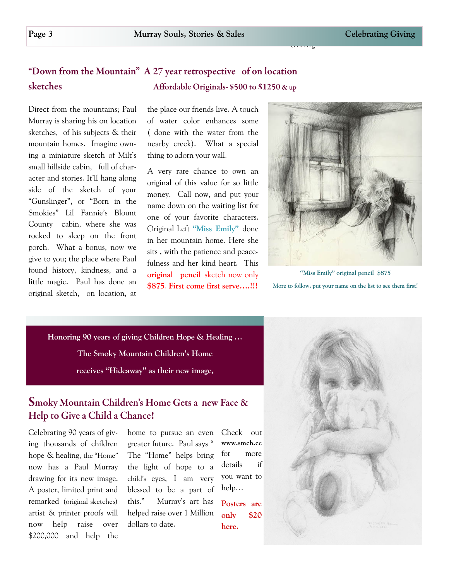### "Down from the Mountain" A 27 year retrospective of on location sketches Affordable Originals- \$500 to \$1250 & up

Direct from the mountains; Paul Murray is sharing his on location sketches, of his subjects & their mountain homes. Imagine owning a miniature sketch of Milt's small hillside cabin, full of character and stories. It'll hang along side of the sketch of your "Gunslinger", or "Born in the Smokies‖ Lil Fannie's Blount County cabin, where she was rocked to sleep on the front porch. What a bonus, now we give to you; the place where Paul found history, kindness, and a little magic. Paul has done an original sketch, on location, at the place our friends live. A touch of water color enhances some ( done with the water from the nearby creek). What a special thing to adorn your wall.

A very rare chance to own an original of this value for so little money. Call now, and put your name down on the waiting list for one of your favorite characters. Original Left "Miss Emily" done in her mountain home. Here she sits , with the patience and peacefulness and her kind heart. This **original pencil** sketch now only **\$875**. **First come first serve….!!!**



Giving

**―Miss Emily‖ original pencil \$875 More to follow, put your name on the list to see them first!**

**Honoring 90 years of giving Children Hope & Healing … The Smoky Mountain Children's Home**  receives "Hideaway" as their new image,

## Smoky Mountain Children's Home Gets a new Face & Help to Give a Child a Chance!

Celebrating 90 years of giving thousands of children hope & healing, the "Home" now has a Paul Murray drawing for its new image. A poster, limited print and remarked (original sketches) artist & printer proofs will now help raise over \$200,000 and help the

home to pursue an even greater future. Paul says " The "Home" helps bring the light of hope to a child's eyes, I am very blessed to be a part of this.‖ Murray's art has helped raise over 1 Million dollars to date.

Check out **www.smch.cc**  for more details if you want to help…

**Posters are only \$20 here.**